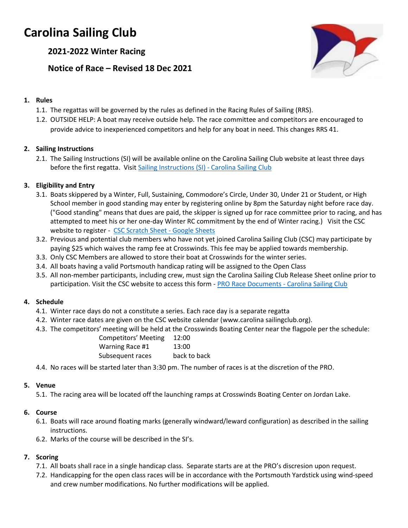# **Carolina Sailing Club**

**2021-2022 Winter Racing**

**Notice of Race – Revised 18 Dec 2021**



# **1. Rules**

- 1.1. The regattas will be governed by the rules as defined in the Racing Rules of Sailing (RRS).
- 1.2. OUTSIDE HELP: A boat may receive outside help. The race committee and competitors are encouraged to provide advice to inexperienced competitors and help for any boat in need. This changes RRS 41.

# **2. Sailing Instructions**

2.1. The Sailing Instructions (SI) will be available online on the Carolina Sailing Club website at least three days before the first regatta. Visit [Sailing Instructions \(SI\) -](https://www.carolinasailingclub.org/sailing-instructions-si.html) Carolina Sailing Club

# **3. Eligibility and Entry**

- 3.1. Boats skippered by a Winter, Full, Sustaining, Commodore's Circle, Under 30, Under 21 or Student, or High School member in good standing may enter by registering online by 8pm the Saturday night before race day. ("Good standing" means that dues are paid, the skipper is signed up for race committee prior to racing, and has attempted to meet his or her one-day Winter RC commitment by the end of Winter racing.) Visit the CSC website to register - [CSC Scratch Sheet -](https://docs.google.com/spreadsheets/d/1PcPvH9n13bLqQam6nhFz_JGcjRc_J4rZpCgKfgdr1Is/edit#gid=2067851581) Google Sheets
- 3.2. Previous and potential club members who have not yet joined Carolina Sailing Club (CSC) may participate by paying \$25 which waives the ramp fee at Crosswinds. This fee may be applied towards membership.
- 3.3. Only CSC Members are allowed to store their boat at Crosswinds for the winter series.
- 3.4. All boats having a valid Portsmouth handicap rating will be assigned to the Open Class
- 3.5. All non-member participants, including crew, must sign the Carolina Sailing Club Release Sheet online prior to participation. Visit the CSC website to access this form - PRO Race Documents - [Carolina Sailing Club](https://www.carolinasailingclub.org/pro-race-documents.html)

## **4. Schedule**

- 4.1. Winter race days do not a constitute a series. Each race day is a separate regatta
- 4.2. Winter race dates are given on the CSC website calendar (www.carolina sailingclub.org).
- 4.3. The competitors' meeting will be held at the Crosswinds Boating Center near the flagpole per the schedule:

| <b>Competitors' Meeting</b> | 12:00        |
|-----------------------------|--------------|
| Warning Race #1             | 13:00        |
| Subsequent races            | back to back |

4.4. No races will be started later than 3:30 pm. The number of races is at the discretion of the PRO.

## **5. Venue**

5.1. The racing area will be located off the launching ramps at Crosswinds Boating Center on Jordan Lake.

## **6. Course**

- 6.1. Boats will race around floating marks (generally windward/leward configuration) as described in the sailing instructions.
- 6.2. Marks of the course will be described in the SI's.

# **7. Scoring**

- 7.1. All boats shall race in a single handicap class. Separate starts are at the PRO's discresion upon request.
- 7.2. Handicapping for the open class races will be in accordance with the Portsmouth Yardstick using wind-speed and crew number modifications. No further modifications will be applied.